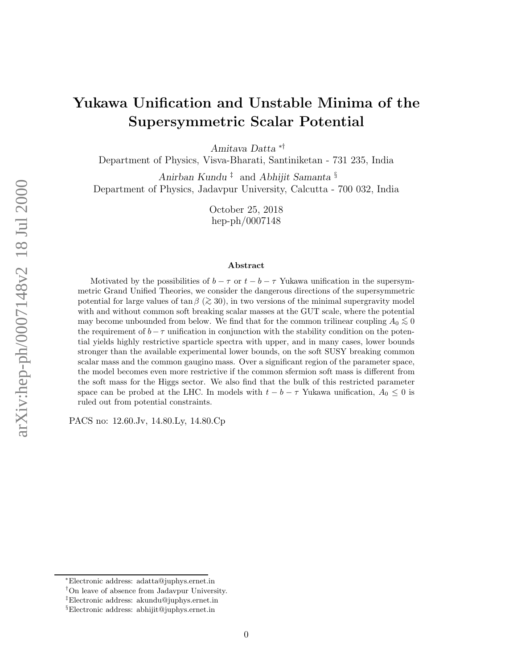# Yukawa Unification and Unstable Minima of the Supersymmetric Scalar Potential

Amitava Datta ∗†

Department of Physics, Visva-Bharati, Santiniketan - 731 235, India

Anirban Kundu<sup>‡</sup> and Abhijit Samanta<sup>§</sup> Department of Physics, Jadavpur University, Calcutta - 700 032, India

> October 25, 2018 hep-ph/0007148

#### Abstract

Motivated by the possibilities of  $b - \tau$  or  $t - b - \tau$  Yukawa unification in the supersymmetric Grand Unified Theories, we consider the dangerous directions of the supersymmetric potential for large values of  $\tan \beta$  ( $\gtrsim 30$ ), in two versions of the minimal supergravity model with and without common soft breaking scalar masses at the GUT scale, where the potential may become unbounded from below. We find that for the common trilinear coupling  $A_0 \lesssim 0$ <br>the premium set of  $L$  as surface time in equivarian with the stability can differ an the patron the requirement of  $b - \tau$  unification in conjunction with the stability condition on the potential yields highly restrictive sparticle spectra with upper, and in many cases, lower bounds stronger than the available experimental lower bounds, on the soft SUSY breaking common scalar mass and the common gaugino mass. Over a significant region of the parameter space, the model becomes even more restrictive if the common sfermion soft mass is different from the soft mass for the Higgs sector. We also find that the bulk of this restricted parameter space can be probed at the LHC. In models with  $t - b - \tau$  Yukawa unification,  $A_0 \leq 0$  is ruled out from potential constraints.

PACS no: 12.60.Jv, 14.80.Ly, 14.80.Cp

<sup>∗</sup>Electronic address: adatta@juphys.ernet.in

<sup>†</sup>On leave of absence from Jadavpur University.

<sup>‡</sup>Electronic address: akundu@juphys.ernet.in

<sup>§</sup>Electronic address: abhijit@juphys.ernet.in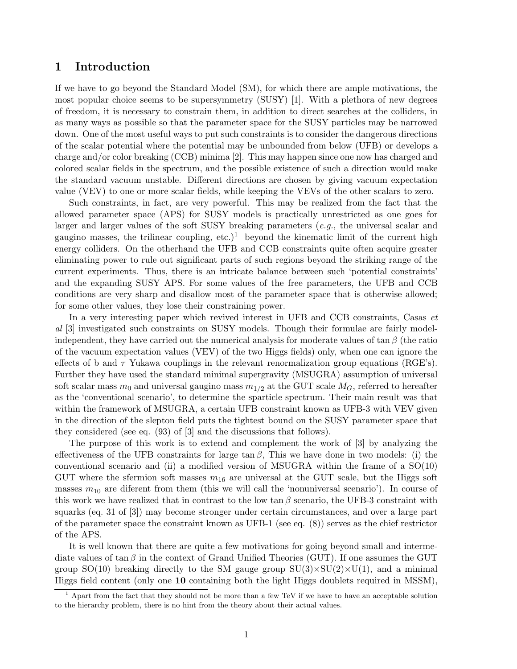### 1 Introduction

If we have to go beyond the Standard Model (SM), for which there are ample motivations, the most popular choice seems to be supersymmetry (SUSY) [1]. With a plethora of new degrees of freedom, it is necessary to constrain them, in addition to direct searches at the colliders, in as many ways as possible so that the parameter space for the SUSY particles may be narrowed down. One of the most useful ways to put such constraints is to consider the dangerous directions of the scalar potential where the potential may be unbounded from below (UFB) or develops a charge and/or color breaking (CCB) minima [2]. This may happen since one now has charged and colored scalar fields in the spectrum, and the possible existence of such a direction would make the standard vacuum unstable. Different directions are chosen by giving vacuum expectation value (VEV) to one or more scalar fields, while keeping the VEVs of the other scalars to zero.

Such constraints, in fact, are very powerful. This may be realized from the fact that the allowed parameter space (APS) for SUSY models is practically unrestricted as one goes for larger and larger values of the soft SUSY breaking parameters (e.g., the universal scalar and gaugino masses, the trilinear coupling, etc.)<sup>1</sup> beyond the kinematic limit of the current high energy colliders. On the otherhand the UFB and CCB constraints quite often acquire greater eliminating power to rule out significant parts of such regions beyond the striking range of the current experiments. Thus, there is an intricate balance between such 'potential constraints' and the expanding SUSY APS. For some values of the free parameters, the UFB and CCB conditions are very sharp and disallow most of the parameter space that is otherwise allowed; for some other values, they lose their constraining power.

In a very interesting paper which revived interest in UFB and CCB constraints, Casas *et* al [3] investigated such constraints on SUSY models. Though their formulae are fairly modelindependent, they have carried out the numerical analysis for moderate values of tan  $\beta$  (the ratio of the vacuum expectation values (VEV) of the two Higgs fields) only, when one can ignore the effects of b and  $\tau$  Yukawa couplings in the relevant renormalization group equations (RGE's). Further they have used the standard minimal supergravity (MSUGRA) assumption of universal soft scalar mass  $m_0$  and universal gaugino mass  $m_{1/2}$  at the GUT scale  $M_G$ , referred to hereafter as the 'conventional scenario', to determine the sparticle spectrum. Their main result was that within the framework of MSUGRA, a certain UFB constraint known as UFB-3 with VEV given in the direction of the slepton field puts the tightest bound on the SUSY parameter space that they considered (see eq. (93) of [3] and the discussions that follows).

The purpose of this work is to extend and complement the work of [3] by analyzing the effectiveness of the UFB constraints for large  $\tan \beta$ , This we have done in two models: (i) the conventional scenario and (ii) a modified version of MSUGRA within the frame of a  $SO(10)$ GUT where the sfermion soft masses  $m_{16}$  are universal at the GUT scale, but the Higgs soft masses  $m_{10}$  are diferent from them (this we will call the 'nonuniversal scenario'). In course of this work we have realized that in contrast to the low tan  $\beta$  scenario, the UFB-3 constraint with squarks (eq. 31 of [3]) may become stronger under certain circumstances, and over a large part of the parameter space the constraint known as UFB-1 (see eq. (8)) serves as the chief restrictor of the APS.

It is well known that there are quite a few motivations for going beyond small and intermediate values of tan  $\beta$  in the context of Grand Unified Theories (GUT). If one assumes the GUT group  $SO(10)$  breaking directly to the SM gauge group  $SU(3)\times SU(2)\times U(1)$ , and a minimal Higgs field content (only one 10 containing both the light Higgs doublets required in MSSM),

 $<sup>1</sup>$  Apart from the fact that they should not be more than a few TeV if we have to have an acceptable solution</sup> to the hierarchy problem, there is no hint from the theory about their actual values.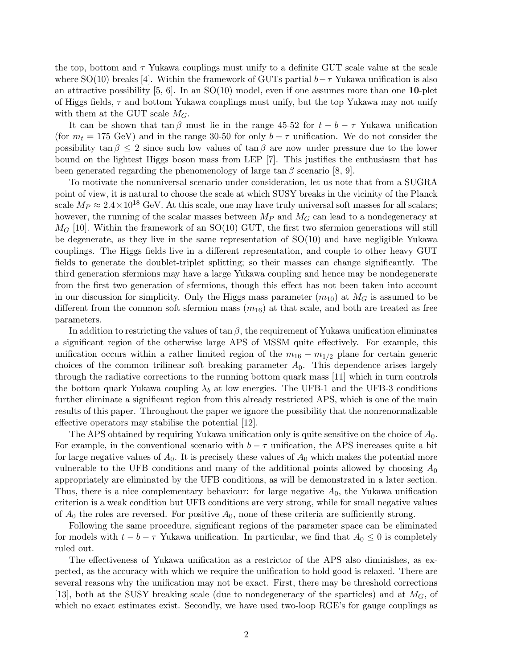the top, bottom and  $\tau$  Yukawa couplings must unify to a definite GUT scale value at the scale where SO(10) breaks [4]. Within the framework of GUTs partial  $b-\tau$  Yukawa unification is also an attractive possibility  $[5, 6]$ . In an  $SO(10)$  model, even if one assumes more than one **10**-plet of Higgs fields,  $\tau$  and bottom Yukawa couplings must unify, but the top Yukawa may not unify with them at the GUT scale  $M_G$ .

It can be shown that tan β must lie in the range 45-52 for  $t - b - \tau$  Yukawa unification (for  $m_t = 175$  GeV) and in the range 30-50 for only  $b - \tau$  unification. We do not consider the possibility  $\tan \beta \leq 2$  since such low values of  $\tan \beta$  are now under pressure due to the lower bound on the lightest Higgs boson mass from LEP [7]. This justifies the enthusiasm that has been generated regarding the phenomenology of large  $\tan \beta$  scenario [8, 9].

To motivate the nonuniversal scenario under consideration, let us note that from a SUGRA point of view, it is natural to choose the scale at which SUSY breaks in the vicinity of the Planck scale  $M_P \approx 2.4 \times 10^{18}$  GeV. At this scale, one may have truly universal soft masses for all scalars; however, the running of the scalar masses between  $M_P$  and  $M_G$  can lead to a nondegeneracy at  $M_G$  [10]. Within the framework of an SO(10) GUT, the first two sfermion generations will still be degenerate, as they live in the same representation of SO(10) and have negligible Yukawa couplings. The Higgs fields live in a different representation, and couple to other heavy GUT fields to generate the doublet-triplet splitting; so their masses can change significantly. The third generation sfermions may have a large Yukawa coupling and hence may be nondegenerate from the first two generation of sfermions, though this effect has not been taken into account in our discussion for simplicity. Only the Higgs mass parameter  $(m_{10})$  at  $M_G$  is assumed to be different from the common soft sfermion mass  $(m_{16})$  at that scale, and both are treated as free parameters.

In addition to restricting the values of  $\tan \beta$ , the requirement of Yukawa unification eliminates a significant region of the otherwise large APS of MSSM quite effectively. For example, this unification occurs within a rather limited region of the  $m_{16} - m_{1/2}$  plane for certain generic choices of the common trilinear soft breaking parameter  $A_0$ . This dependence arises largely through the radiative corrections to the running bottom quark mass [11] which in turn controls the bottom quark Yukawa coupling  $\lambda_b$  at low energies. The UFB-1 and the UFB-3 conditions further eliminate a significant region from this already restricted APS, which is one of the main results of this paper. Throughout the paper we ignore the possibility that the nonrenormalizable effective operators may stabilise the potential [12].

The APS obtained by requiring Yukawa unification only is quite sensitive on the choice of  $A_0$ . For example, in the conventional scenario with  $b - \tau$  unification, the APS increases quite a bit for large negative values of  $A_0$ . It is precisely these values of  $A_0$  which makes the potential more vulnerable to the UFB conditions and many of the additional points allowed by choosing  $A_0$ appropriately are eliminated by the UFB conditions, as will be demonstrated in a later section. Thus, there is a nice complementary behaviour: for large negative  $A_0$ , the Yukawa unification criterion is a weak condition but UFB conditions are very strong, while for small negative values of  $A_0$  the roles are reversed. For positive  $A_0$ , none of these criteria are sufficiently strong.

Following the same procedure, significant regions of the parameter space can be eliminated for models with  $t - b - \tau$  Yukawa unification. In particular, we find that  $A_0 \leq 0$  is completely ruled out.

The effectiveness of Yukawa unification as a restrictor of the APS also diminishes, as expected, as the accuracy with which we require the unification to hold good is relaxed. There are several reasons why the unification may not be exact. First, there may be threshold corrections [13], both at the SUSY breaking scale (due to nondegeneracy of the sparticles) and at  $M_G$ , of which no exact estimates exist. Secondly, we have used two-loop RGE's for gauge couplings as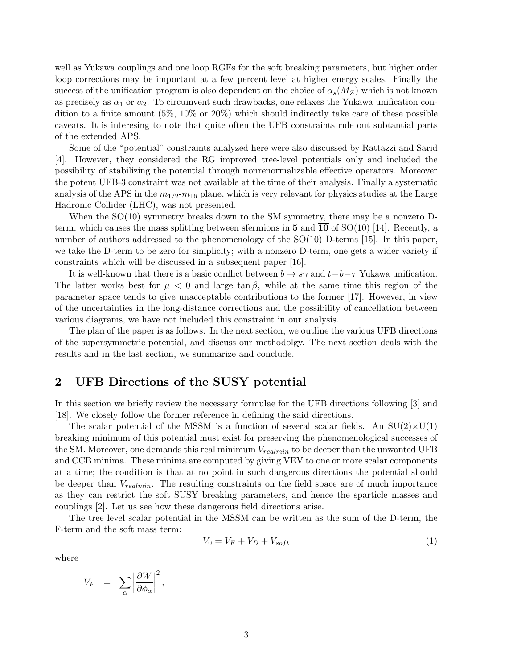well as Yukawa couplings and one loop RGEs for the soft breaking parameters, but higher order loop corrections may be important at a few percent level at higher energy scales. Finally the success of the unification program is also dependent on the choice of  $\alpha_s(M_Z)$  which is not known as precisely as  $\alpha_1$  or  $\alpha_2$ . To circumvent such drawbacks, one relaxes the Yukawa unification condition to a finite amount  $(5\%, 10\% \text{ or } 20\%)$  which should indirectly take care of these possible caveats. It is interesing to note that quite often the UFB constraints rule out subtantial parts of the extended APS.

Some of the "potential" constraints analyzed here were also discussed by Rattazzi and Sarid [4]. However, they considered the RG improved tree-level potentials only and included the possibility of stabilizing the potential through nonrenormalizable effective operators. Moreover the potent UFB-3 constraint was not available at the time of their analysis. Finally a systematic analysis of the APS in the  $m_{1/2}$ - $m_{16}$  plane, which is very relevant for physics studies at the Large Hadronic Collider (LHC), was not presented.

When the SO(10) symmetry breaks down to the SM symmetry, there may be a nonzero Dterm, which causes the mass splitting between sfermions in 5 and  $\overline{10}$  of SO(10) [14]. Recently, a number of authors addressed to the phenomenology of the SO(10) D-terms [15]. In this paper, we take the D-term to be zero for simplicity; with a nonzero D-term, one gets a wider variety if constraints which will be discussed in a subsequent paper [16].

It is well-known that there is a basic conflict between  $b \to s\gamma$  and  $t-b-\tau$  Yukawa unification. The latter works best for  $\mu < 0$  and large  $\tan \beta$ , while at the same time this region of the parameter space tends to give unacceptable contributions to the former [17]. However, in view of the uncertainties in the long-distance corrections and the possibility of cancellation between various diagrams, we have not included this constraint in our analysis.

The plan of the paper is as follows. In the next section, we outline the various UFB directions of the supersymmetric potential, and discuss our methodolgy. The next section deals with the results and in the last section, we summarize and conclude.

## 2 UFB Directions of the SUSY potential

In this section we briefly review the necessary formulae for the UFB directions following [3] and [18]. We closely follow the former reference in defining the said directions.

The scalar potential of the MSSM is a function of several scalar fields. An  $SU(2)\times U(1)$ breaking minimum of this potential must exist for preserving the phenomenological successes of the SM. Moreover, one demands this real minimum  $V_{\text{realmin}}$  to be deeper than the unwanted UFB and CCB minima. These minima are computed by giving VEV to one or more scalar components at a time; the condition is that at no point in such dangerous directions the potential should be deeper than  $V_{realmin}$ . The resulting constraints on the field space are of much importance as they can restrict the soft SUSY breaking parameters, and hence the sparticle masses and couplings [2]. Let us see how these dangerous field directions arise.

The tree level scalar potential in the MSSM can be written as the sum of the D-term, the F-term and the soft mass term:

$$
V_0 = V_F + V_D + V_{soft} \tag{1}
$$

where

$$
V_F \;\; = \;\; \sum_\alpha \left| \frac{\partial W}{\partial \phi_\alpha} \right|^2,
$$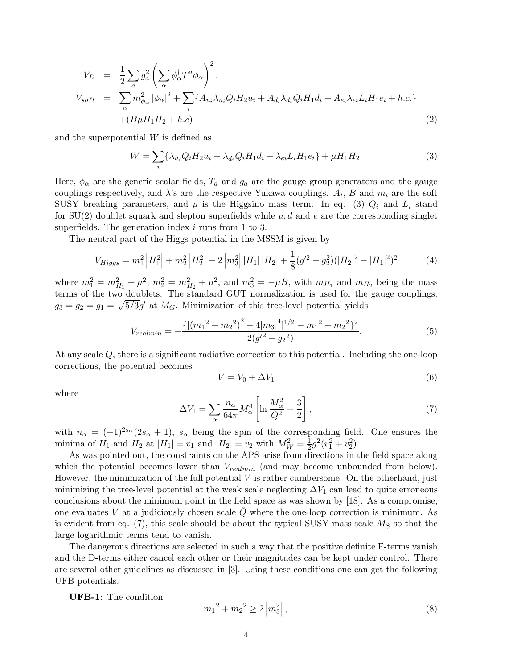$$
V_D = \frac{1}{2} \sum_a g_a^2 \left( \sum_\alpha \phi_\alpha^\dagger T^a \phi_\alpha \right)^2,
$$
  
\n
$$
V_{soft} = \sum_\alpha m_{\phi_\alpha}^2 |\phi_\alpha|^2 + \sum_i \{ A_{u_i} \lambda_{u_i} Q_i H_2 u_i + A_{d_i} \lambda_{d_i} Q_i H_1 d_i + A_{e_i} \lambda_{ei} L_i H_1 e_i + h.c. \}
$$
  
\n
$$
+ (B \mu H_1 H_2 + h.c)
$$
\n(2)

and the superpotential W is defined as

$$
W = \sum_{i} \{ \lambda_{u_i} Q_i H_2 u_i + \lambda_{d_i} Q_i H_1 d_i + \lambda_{ei} L_i H_1 e_i \} + \mu H_1 H_2.
$$
 (3)

Here,  $\phi_{\alpha}$  are the generic scalar fields,  $T_a$  and  $g_a$  are the gauge group generators and the gauge couplings respectively, and  $\lambda$ 's are the respective Yukawa couplings.  $A_i$ , B and  $m_i$  are the soft SUSY breaking parameters, and  $\mu$  is the Higgsino mass term. In eq. (3)  $Q_i$  and  $L_i$  stand for  $SU(2)$  doublet squark and slepton superfields while u, d and e are the corresponding singlet superfields. The generation index  $i$  runs from 1 to 3.

The neutral part of the Higgs potential in the MSSM is given by

$$
V_{Higgs} = m_1^2 |H_1^2| + m_2^2 |H_2^2| - 2 |m_3^2| |H_1| |H_2| + \frac{1}{8} (g'^2 + g_2^2) (|H_2|^2 - |H_1|^2)^2 \tag{4}
$$

where  $m_1^2 = m_{H_1}^2 + \mu^2$ ,  $m_2^2 = m_{H_2}^2 + \mu^2$ , and  $m_3^2 = -\mu B$ , with  $m_{H_1}$  and  $m_{H_2}$  being the mass terms of the two doublets. The standard GUT normalization is used for the gauge couplings:  $g_3 = g_2 = g_1 = \sqrt{5/3}g'$  at  $M_G$ . Minimization of this tree-level potential yields

$$
V_{realmin} = -\frac{\{[(m_1^2 + m_2^2)^2 - 4|m_3|^4]^{1/2} - m_1^2 + m_2^2\}^2}{2(g'^2 + g_2^2)}.
$$
\n
$$
(5)
$$

At any scale Q, there is a significant radiative correction to this potential. Including the one-loop corrections, the potential becomes

$$
V = V_0 + \Delta V_1 \tag{6}
$$

where

$$
\Delta V_1 = \sum_{\alpha} \frac{n_{\alpha}}{64\pi} M_{\alpha}^4 \left[ \ln \frac{M_{\alpha}^2}{Q^2} - \frac{3}{2} \right],\tag{7}
$$

with  $n_{\alpha} = (-1)^{2s_{\alpha}}(2s_{\alpha}+1)$ ,  $s_{\alpha}$  being the spin of the corresponding field. One ensures the minima of  $H_1$  and  $H_2$  at  $|H_1| = v_1$  and  $|H_2| = v_2$  with  $M_W^2 = \frac{1}{2}$  $\frac{1}{2}g^2(v_1^2+v_2^2).$ 

As was pointed out, the constraints on the APS arise from directions in the field space along which the potential becomes lower than  $V_{\text{realmin}}$  (and may become unbounded from below). However, the minimization of the full potential  $V$  is rather cumbersome. On the otherhand, just minimizing the tree-level potential at the weak scale neglecting  $\Delta V_1$  can lead to quite erroneous conclusions about the minimum point in the field space as was shown by [18]. As a compromise, one evaluates V at a judiciously chosen scale  $Q$  where the one-loop correction is minimum. As is evident from eq. (7), this scale should be about the typical SUSY mass scale  $M<sub>S</sub>$  so that the large logarithmic terms tend to vanish.

The dangerous directions are selected in such a way that the positive definite F-terms vanish and the D-terms either cancel each other or their magnitudes can be kept under control. There are several other guidelines as discussed in [3]. Using these conditions one can get the following UFB potentials.

UFB-1: The condition

$$
m_1^2 + m_2^2 \ge 2 \left| m_3^2 \right|,\tag{8}
$$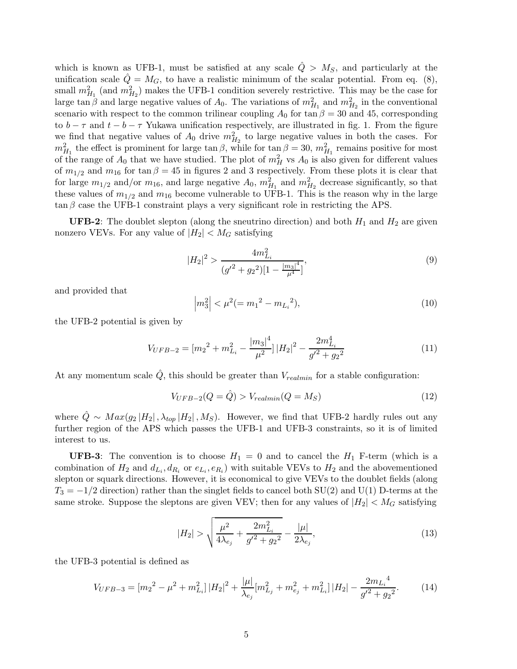which is known as UFB-1, must be satisfied at any scale  $\hat{Q} > M_S$ , and particularly at the unification scale  $\hat{Q} = M_G$ , to have a realistic minimum of the scalar potential. From eq. (8), small  $m_{H_1}^2$  (and  $m_{H_2}^2$ ) makes the UFB-1 condition severely restrictive. This may be the case for large tan β and large negative values of  $A_0$ . The variations of  $m_{H_1}^2$  and  $m_{H_2}^2$  in the conventional scenario with respect to the common trilinear coupling  $A_0$  for tan  $\beta = 30$  and 45, corresponding to  $b - \tau$  and  $t - b - \tau$  Yukawa unification respectively, are illustrated in fig. 1. From the figure we find that negative values of  $A_0$  drive  $m_{H_2}^2$  to large negative values in both the cases. For  $m_{H_1}^2$  the effect is prominent for large tan  $\beta$ , while for tan  $\beta = 30$ ,  $m_{H_1}^2$  remains positive for most of the range of  $A_0$  that we have studied. The plot of  $m_H^2$  vs  $A_0$  is also given for different values of  $m_{1/2}$  and  $m_{16}$  for tan  $\beta = 45$  in figures 2 and 3 respectively. From these plots it is clear that for large  $m_{1/2}$  and/or  $m_{16}$ , and large negative  $A_0$ ,  $m_{H_1}^2$  and  $m_{H_2}^2$  decrease significantly, so that these values of  $m_{1/2}$  and  $m_{16}$  become vulnerable to UFB-1. This is the reason why in the large  $\tan \beta$  case the UFB-1 constraint plays a very significant role in restricting the APS.

**UFB-2**: The doublet slepton (along the sneutrino direction) and both  $H_1$  and  $H_2$  are given nonzero VEVs. For any value of  $|H_2| < M_G$  satisfying

$$
|H_2|^2 > \frac{4m_{L_i}^2}{(g'^2 + g_2^2)[1 - \frac{|m_3|^4}{\mu^4}]},\tag{9}
$$

and provided that

$$
\left|m_3^2\right| < \mu^2 (= m_1^2 - m_{L_i}^2),\tag{10}
$$

the UFB-2 potential is given by

$$
V_{UFB-2} = [m_2^2 + m_{Li}^2 - \frac{|m_3|^4}{\mu^2}] |H_2|^2 - \frac{2m_{Li}^4}{g'^2 + g_2^2}
$$
 (11)

At any momentum scale  $\tilde{Q}$ , this should be greater than  $V_{\text{realmin}}$  for a stable configuration:

$$
V_{UFB-2}(Q = \hat{Q}) > V_{\text{realmin}}(Q = M_S)
$$
\n<sup>(12)</sup>

where  $\hat{Q} \sim Max(g_2|H_2|, \lambda_{top}|H_2|, M_S)$ . However, we find that UFB-2 hardly rules out any further region of the APS which passes the UFB-1 and UFB-3 constraints, so it is of limited interest to us.

**UFB-3**: The convention is to choose  $H_1 = 0$  and to cancel the  $H_1$  F-term (which is a combination of  $H_2$  and  $d_{L_i}, d_{R_i}$  or  $e_{L_i}, e_{R_i}$ ) with suitable VEVs to  $H_2$  and the abovementioned slepton or squark directions. However, it is economical to give VEVs to the doublet fields (along  $T_3 = -1/2$  direction) rather than the singlet fields to cancel both SU(2) and U(1) D-terms at the same stroke. Suppose the sleptons are given VEV; then for any values of  $|H_2| < M_G$  satisfying

$$
|H_2| > \sqrt{\frac{\mu^2}{4\lambda_{e_j}} + \frac{2m_{L_i}^2}{g'^2 + g_2^2}} - \frac{|\mu|}{2\lambda_{e_j}},
$$
\n(13)

the UFB-3 potential is defined as

$$
V_{UFB-3} = [m_2^2 - \mu^2 + m_{L_i}^2] |H_2|^2 + \frac{|\mu|}{\lambda_{e_j}} [m_{L_j}^2 + m_{e_j}^2 + m_{L_i}^2] |H_2| - \frac{2m_{L_i}^4}{g'^2 + g_2^2}.
$$
 (14)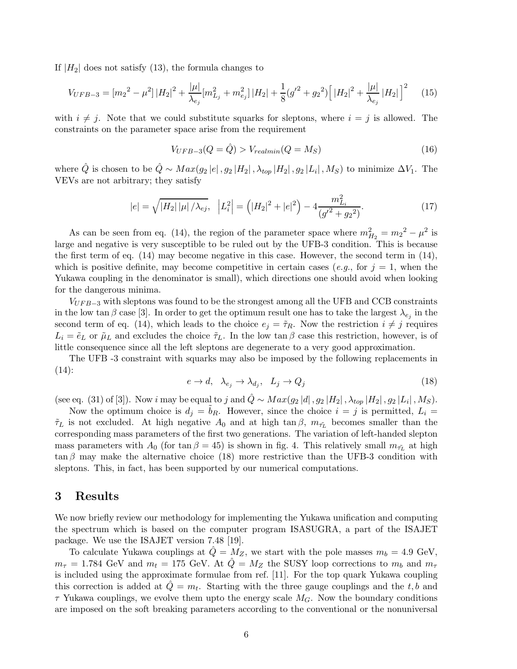If  $|H_2|$  does not satisfy (13), the formula changes to

$$
V_{UFB-3} = [m_2{}^2 - \mu^2] |H_2|^2 + \frac{|\mu|}{\lambda_{e_j}} [m_{L_j}^2 + m_{e_j}^2] |H_2| + \frac{1}{8} (g'^2 + g_2{}^2) \Big[ |H_2|^2 + \frac{|\mu|}{\lambda_{e_j}} |H_2| \Big]^2 \tag{15}
$$

with  $i \neq j$ . Note that we could substitute squarks for sleptons, where  $i = j$  is allowed. The constraints on the parameter space arise from the requirement

$$
V_{UFB-3}(Q = \hat{Q}) > V_{realmin}(Q = M_S)
$$
\n<sup>(16)</sup>

where  $\hat{Q}$  is chosen to be  $\hat{Q} \sim Max(g_2|e|, g_2|H_2|, \lambda_{top}|H_2|, g_2|L_i|, M_S)$  to minimize  $\Delta V_1$ . The VEVs are not arbitrary; they satisfy

$$
|e| = \sqrt{|H_2| |\mu| / \lambda_{ej}}, \quad |L_i^2| = (|H_2|^2 + |e|^2) - 4 \frac{m_{Li}^2}{(g'^2 + g_2^2)}.
$$
\n(17)

As can be seen from eq. (14), the region of the parameter space where  $m_{H_2}^2 = m_2^2 - \mu^2$  is large and negative is very susceptible to be ruled out by the UFB-3 condition. This is because the first term of eq. (14) may become negative in this case. However, the second term in (14), which is positive definite, may become competitive in certain cases (e.g., for  $j = 1$ , when the Yukawa coupling in the denominator is small), which directions one should avoid when looking for the dangerous minima.

 $V_{UFB-3}$  with sleptons was found to be the strongest among all the UFB and CCB constraints in the low tan  $\beta$  case [3]. In order to get the optimum result one has to take the largest  $\lambda_{e_j}$  in the second term of eq. (14), which leads to the choice  $e_j = \tilde{\tau}_R$ . Now the restriction  $i \neq j$  requires  $L_i = \tilde{e}_L$  or  $\tilde{\mu}_L$  and excludes the choice  $\tilde{\tau}_L$ . In the low tan  $\beta$  case this restriction, however, is of little consequence since all the left sleptons are degenerate to a very good approximation.

The UFB -3 constraint with squarks may also be imposed by the following replacements in (14):

$$
e \to d, \quad \lambda_{e_j} \to \lambda_{d_j}, \quad L_j \to Q_j \tag{18}
$$

(see eq. (31) of [3]). Now i may be equal to j and  $\hat{Q} \sim Max(g_2|d|, g_2|H_2|, \lambda_{top}|H_2|, g_2|L_i|, M_S)$ .

Now the optimum choice is  $d_j = b_R$ . However, since the choice  $i = j$  is permitted,  $L_i =$  $\tilde{\tau}_L$  is not excluded. At high negative  $A_0$  and at high tan  $\beta$ ,  $m_{\tilde{\tau}_L}$  becomes smaller than the corresponding mass parameters of the first two generations. The variation of left-handed slepton mass parameters with  $A_0$  (for tan  $\beta = 45$ ) is shown in fig. 4. This relatively small  $m_{\tilde{\tau}_L}$  at high  $\tan \beta$  may make the alternative choice (18) more restrictive than the UFB-3 condition with sleptons. This, in fact, has been supported by our numerical computations.

#### 3 Results

We now briefly review our methodology for implementing the Yukawa unification and computing the spectrum which is based on the computer program ISASUGRA, a part of the ISAJET package. We use the ISAJET version 7.48 [19].

To calculate Yukawa couplings at  $\ddot{Q} = M_Z$ , we start with the pole masses  $m_b = 4.9 \text{ GeV}$ ,  $m_{\tau} = 1.784$  GeV and  $m_t = 175$  GeV. At  $\hat{Q} = M_Z$  the SUSY loop corrections to  $m_b$  and  $m_{\tau}$ is included using the approximate formulae from ref. [11]. For the top quark Yukawa coupling this correction is added at  $\hat{Q} = m_t$ . Starting with the three gauge couplings and the t, b and  $\tau$  Yukawa couplings, we evolve them upto the energy scale  $M_G$ . Now the boundary conditions are imposed on the soft breaking parameters according to the conventional or the nonuniversal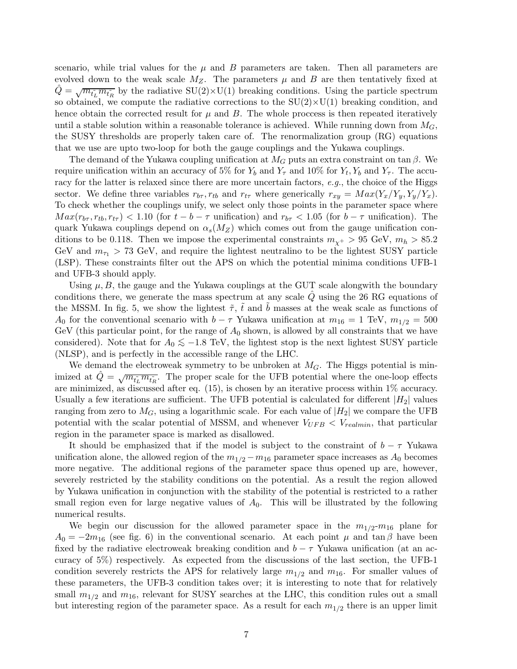scenario, while trial values for the  $\mu$  and  $B$  parameters are taken. Then all parameters are evolved down to the weak scale  $M_Z$ . The parameters  $\mu$  and  $B$  are then tentatively fixed at  $\hat{Q} = \sqrt{m_{t\tilde{L}}} m_{t\tilde{R}}$  by the radiative  $SU(2) \times U(1)$  breaking conditions. Using the particle spectrum so obtained, we compute the radiative corrections to the  $SU(2)\times U(1)$  breaking condition, and hence obtain the corrected result for  $\mu$  and  $B$ . The whole proccess is then repeated iteratively until a stable solution within a reasonable tolerance is achieved. While running down from  $M_G$ , the SUSY thresholds are properly taken care of. The renormalization group (RG) equations that we use are upto two-loop for both the gauge couplings and the Yukawa couplings.

The demand of the Yukawa coupling unification at  $M_G$  puts an extra constraint on tan  $\beta$ . We require unification within an accuracy of 5% for  $Y_b$  and  $Y_\tau$  and 10% for  $Y_t, Y_b$  and  $Y_\tau$ . The accuracy for the latter is relaxed since there are more uncertain factors, e.g., the choice of the Higgs sector. We define three variables  $r_{b\tau}$ ,  $r_{tb}$  and  $r_{t\tau}$  where generically  $r_{xy} = Max(Y_x/Y_y, Y_y/Y_x)$ . To check whether the couplings unify, we select only those points in the parameter space where  $Max(r_{b\tau}, r_{tb}, r_{t\tau}) < 1.10$  (for  $t - b - \tau$  unification) and  $r_{b\tau} < 1.05$  (for  $b - \tau$  unification). The quark Yukawa couplings depend on  $\alpha_s(M_Z)$  which comes out from the gauge unification conditions to be 0.118. Then we impose the experimental constraints  $m_{\chi^+} > 95$  GeV,  $m_h > 85.2$ GeV and  $m_{\tau_1} > 73$  GeV, and require the lightest neutralino to be the lightest SUSY particle (LSP). These constraints filter out the APS on which the potential minima conditions UFB-1 and UFB-3 should apply.

Using  $\mu$ , B, the gauge and the Yukawa couplings at the GUT scale alongwith the boundary conditions there, we generate the mass spectrum at any scale  $\dot{Q}$  using the 26 RG equations of the MSSM. In fig. 5, we show the lightest  $\tilde{\tau}$ ,  $\tilde{t}$  and b masses at the weak scale as functions of A<sub>0</sub> for the conventional scenario with  $b - \tau$  Yukawa unification at  $m_{16} = 1$  TeV,  $m_{1/2} = 500$ GeV (this particular point, for the range of  $A_0$  shown, is allowed by all constraints that we have considered). Note that for  $A_0 \lesssim −1.8$  TeV, the lightest stop is the next lightest SUSY particle (NLSP), and is perfectly in the accessible range of the LHC.

We demand the electroweak symmetry to be unbroken at  $M<sub>G</sub>$ . The Higgs potential is minimized at  $\hat{Q} = \sqrt{m_{\tilde{t}_L} m_{\tilde{t}_R}}$ . The proper scale for the UFB potential where the one-loop effects are minimized, as discussed after eq. (15), is chosen by an iterative process within 1% accuracy. Usually a few iterations are sufficient. The UFB potential is calculated for different  $|H_2|$  values ranging from zero to  $M_G$ , using a logarithmic scale. For each value of  $|H_2|$  we compare the UFB potential with the scalar potential of MSSM, and whenever  $V_{UFB} < V_{realmin}$ , that particular region in the parameter space is marked as disallowed.

It should be emphasized that if the model is subject to the constraint of  $b - \tau$  Yukawa unification alone, the allowed region of the  $m_{1/2} - m_{16}$  parameter space increases as  $A_0$  becomes more negative. The additional regions of the parameter space thus opened up are, however, severely restricted by the stability conditions on the potential. As a result the region allowed by Yukawa unification in conjunction with the stability of the potential is restricted to a rather small region even for large negative values of  $A_0$ . This will be illustrated by the following numerical results.

We begin our discussion for the allowed parameter space in the  $m_{1/2}$ - $m_{16}$  plane for  $A_0 = -2m_{16}$  (see fig. 6) in the conventional scenario. At each point  $\mu$  and tan  $\beta$  have been fixed by the radiative electroweak breaking condition and  $b - \tau$  Yukawa unification (at an accuracy of 5%) respectively. As expected from the discussions of the last section, the UFB-1 condition severely restricts the APS for relatively large  $m_{1/2}$  and  $m_{16}$ . For smaller values of these parameters, the UFB-3 condition takes over; it is interesting to note that for relatively small  $m_{1/2}$  and  $m_{16}$ , relevant for SUSY searches at the LHC, this condition rules out a small but interesting region of the parameter space. As a result for each  $m_{1/2}$  there is an upper limit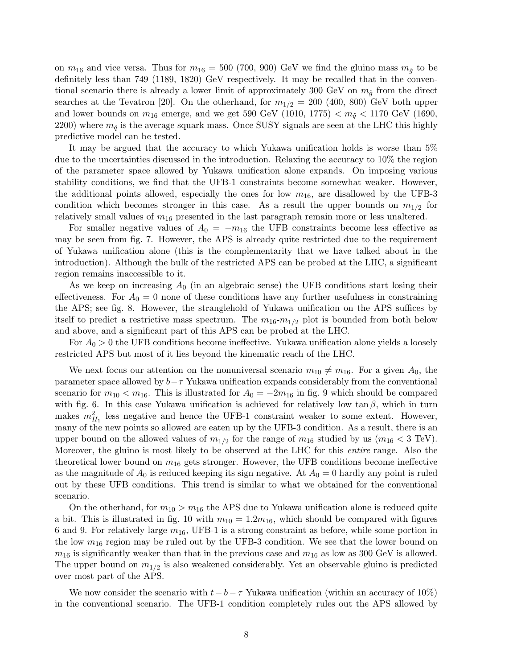on  $m_{16}$  and vice versa. Thus for  $m_{16} = 500$  (700, 900) GeV we find the gluino mass  $m_{\tilde{q}}$  to be definitely less than 749 (1189, 1820) GeV respectively. It may be recalled that in the conventional scenario there is already a lower limit of approximately 300 GeV on  $m_{\tilde{g}}$  from the direct searches at the Tevatron [20]. On the otherhand, for  $m_{1/2} = 200$  (400, 800) GeV both upper and lower bounds on  $m_{16}$  emerge, and we get 590 GeV (1010, 1775)  $\lt m_{\tilde{q}} \lt 1170$  GeV (1690, 2200) where  $m_{\tilde{q}}$  is the average squark mass. Once SUSY signals are seen at the LHC this highly predictive model can be tested.

It may be argued that the accuracy to which Yukawa unification holds is worse than 5% due to the uncertainties discussed in the introduction. Relaxing the accuracy to 10% the region of the parameter space allowed by Yukawa unification alone expands. On imposing various stability conditions, we find that the UFB-1 constraints become somewhat weaker. However, the additional points allowed, especially the ones for low  $m_{16}$ , are disallowed by the UFB-3 condition which becomes stronger in this case. As a result the upper bounds on  $m_{1/2}$  for relatively small values of  $m_{16}$  presented in the last paragraph remain more or less unaltered.

For smaller negative values of  $A_0 = -m_{16}$  the UFB constraints become less effective as may be seen from fig. 7. However, the APS is already quite restricted due to the requirement of Yukawa unification alone (this is the complementarity that we have talked about in the introduction). Although the bulk of the restricted APS can be probed at the LHC, a significant region remains inaccessible to it.

As we keep on increasing  $A_0$  (in an algebraic sense) the UFB conditions start losing their effectiveness. For  $A_0 = 0$  none of these conditions have any further usefulness in constraining the APS; see fig. 8. However, the stranglehold of Yukawa unification on the APS suffices by itself to predict a restrictive mass spectrum. The  $m_{16}-m_{1/2}$  plot is bounded from both below and above, and a significant part of this APS can be probed at the LHC.

For  $A_0 > 0$  the UFB conditions become ineffective. Yukawa unification alone yields a loosely restricted APS but most of it lies beyond the kinematic reach of the LHC.

We next focus our attention on the nonuniversal scenario  $m_{10} \neq m_{16}$ . For a given  $A_0$ , the parameter space allowed by  $b-\tau$  Yukawa unification expands considerably from the conventional scenario for  $m_{10} < m_{16}$ . This is illustrated for  $A_0 = -2m_{16}$  in fig. 9 which should be compared with fig. 6. In this case Yukawa unification is achieved for relatively low tan  $\beta$ , which in turn makes  $m_{H_1}^2$  less negative and hence the UFB-1 constraint weaker to some extent. However, many of the new points so allowed are eaten up by the UFB-3 condition. As a result, there is an upper bound on the allowed values of  $m_{1/2}$  for the range of  $m_{16}$  studied by us  $(m_{16} < 3 \text{ TeV})$ . Moreover, the gluino is most likely to be observed at the LHC for this *entire* range. Also the theoretical lower bound on  $m_{16}$  gets stronger. However, the UFB conditions become ineffective as the magnitude of  $A_0$  is reduced keeping its sign negative. At  $A_0 = 0$  hardly any point is ruled out by these UFB conditions. This trend is similar to what we obtained for the conventional scenario.

On the otherhand, for  $m_{10} > m_{16}$  the APS due to Yukawa unification alone is reduced quite a bit. This is illustrated in fig. 10 with  $m_{10} = 1.2m_{16}$ , which should be compared with figures 6 and 9. For relatively large  $m_{16}$ , UFB-1 is a strong constraint as before, while some portion in the low  $m_{16}$  region may be ruled out by the UFB-3 condition. We see that the lower bound on  $m_{16}$  is significantly weaker than that in the previous case and  $m_{16}$  as low as 300 GeV is allowed. The upper bound on  $m_{1/2}$  is also weakened considerably. Yet an observable gluino is predicted over most part of the APS.

We now consider the scenario with  $t - b - \tau$  Yukawa unification (within an accuracy of 10%) in the conventional scenario. The UFB-1 condition completely rules out the APS allowed by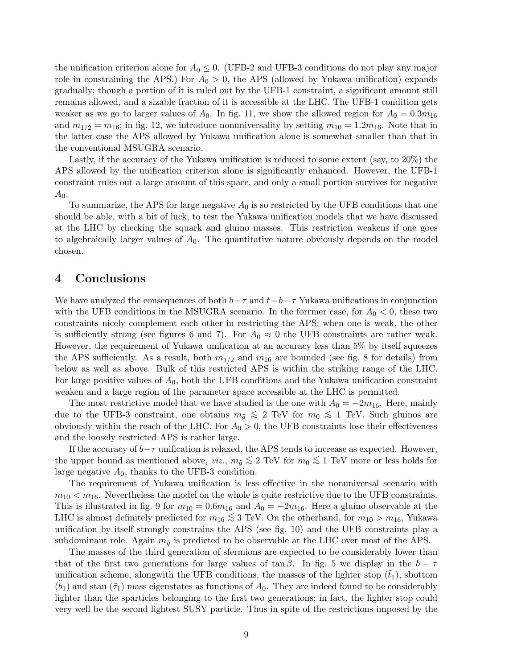the unification criterion alone for  $A_0 \leq 0$ . (UFB-2 and UFB-3 conditions do not play any major role in constraining the APS.) For  $A_0 > 0$ , the APS (allowed by Yukawa unification) expands gradually; though a portion of it is ruled out by the UFB-1 constraint, a significant amount still remains allowed, and a sizable fraction of it is accessible at the LHC. The UFB-1 condition gets weaker as we go to larger values of  $A_0$ . In fig. 11, we show the allowed region for  $A_0 = 0.3m_{16}$ and  $m_{1/2} = m_{16}$ ; in fig. 12, we introduce nonuniversality by setting  $m_{10} = 1.2m_{16}$ . Note that in the latter case the APS allowed by Yukawa unification alone is somewhat smaller than that in the conventional MSUGRA scenario.

Lastly, if the accuracy of the Yukawa unification is reduced to some extent (say, to 20%) the APS allowed by the unification criterion alone is significantly enhanced. However, the UFB-1 constraint rules out a large amount of this space, and only a small portion survives for negative  $A_0.$ 

To summarize, the APS for large negative  $A_0$  is so restricted by the UFB conditions that one should be able, with a bit of luck, to test the Yukawa unification models that we have discussed at the LHC by checking the squark and gluino masses. This restriction weakens if one goes to algebraically larger values of  $A_0$ . The quantitative nature obviously depends on the model chosen.

## 4 Conclusions

We have analyzed the consequences of both  $b-\tau$  and  $t-b-\tau$  Yukawa unifications in conjunction with the UFB conditions in the MSUGRA scenario. In the forrmer case, for  $A_0 < 0$ , these two constraints nicely complement each other in restricting the APS; when one is weak, the other is sufficiently strong (see figures 6 and 7). For  $A_0 \approx 0$  the UFB constraints are rather weak. However, the requirement of Yukawa unification at an accuracy less than 5% by itself squeezes the APS sufficiently. As a result, both  $m_{1/2}$  and  $m_{16}$  are bounded (see fig. 8 for details) from below as well as above. Bulk of this restricted APS is within the striking range of the LHC. For large positive values of  $A_0$ , both the UFB conditions and the Yukawa unification constraint weaken and a large region of the parameter space accessible at the LHC is permitted.

The most restrictive model that we have studied is the one with  $A_0 = -2m_{16}$ . Here, mainly due to the UFB-3 constraint, one obtains  $m_{\tilde{g}} \lesssim 2$  TeV for  $m_0 \lesssim 1$  TeV. Such gluinos are obviously within the reach of the LHC. For  $A_0 > 0$ , the UFB constraints lose their effectiveness and the loosely restricted APS is rather large.

If the accuracy of  $b-\tau$  unification is relaxed, the APS tends to increase as expected. However, the upper bound as mentioned above, *viz.*,  $m_{\tilde{g}} \lesssim 2 \text{ TeV}$  for  $m_0 \lesssim 1 \text{ TeV}$  more or less holds for large negative  $A_0$ , thanks to the UFB-3 condition.

The requirement of Yukawa unification is less effective in the nonuniversal scenario with  $m_{10} < m_{16}$ . Nevertheless the model on the whole is quite restrictive due to the UFB constraints. This is illustrated in fig. 9 for  $m_{10} = 0.6m_{16}$  and  $A_0 = -2m_{16}$ . Here a gluino observable at the LHC is almost definitely predicted for  $m_{16} \lesssim 3$  TeV. On the otherhand, for  $m_{10} > m_{16}$ , Yukawa unification by itself strongly constrains the APS (see fig. 10) and the UFB constraints play a subdominant role. Again  $m_{\tilde{q}}$  is predicted to be observable at the LHC over most of the APS.

The masses of the third generation of sfermions are expected to be considerably lower than that of the first two generations for large values of tan  $\beta$ . In fig. 5 we display in the  $b - \tau$ unification scheme, alongwith the UFB conditions, the masses of the lighter stop  $(t_1)$ , sbottom  $(\tilde{b}_1)$  and stau  $(\tilde{\tau}_1)$  mass eigenstates as functions of  $A_0$ . They are indeed found to be considerably lighter than the sparticles belonging to the first two generations; in fact, the lighter stop could very well be the second lightest SUSY particle. Thus in spite of the restrictions imposed by the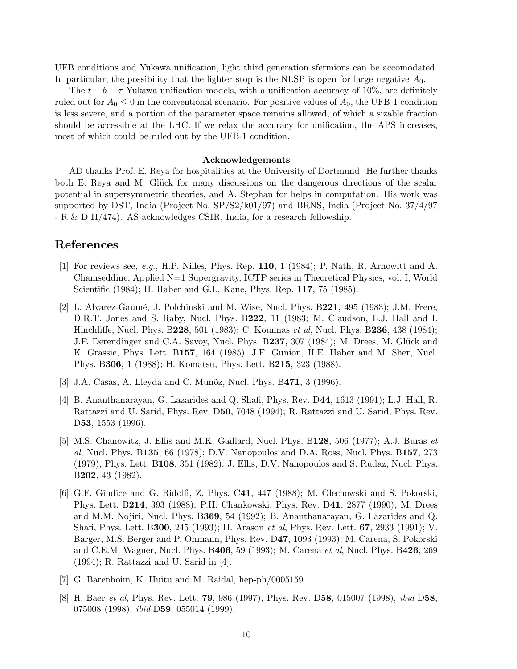UFB conditions and Yukawa unification, light third generation sfermions can be accomodated. In particular, the possibility that the lighter stop is the NLSP is open for large negative  $A_0$ .

The  $t - b - \tau$  Yukawa unification models, with a unification accuracy of 10%, are definitely ruled out for  $A_0 \leq 0$  in the conventional scenario. For positive values of  $A_0$ , the UFB-1 condition is less severe, and a portion of the parameter space remains allowed, of which a sizable fraction should be accessible at the LHC. If we relax the accuracy for unification, the APS increases, most of which could be ruled out by the UFB-1 condition.

#### Acknowledgements

AD thanks Prof. E. Reya for hospitalities at the University of Dortmund. He further thanks both E. Reya and M. Glück for many discussions on the dangerous directions of the scalar potential in supersymmetric theories, and A. Stephan for helps in computation. His work was supported by DST, India (Project No. SP/S2/k01/97) and BRNS, India (Project No. 37/4/97 - R & D II/474). AS acknowledges CSIR, India, for a research fellowship.

### References

- [1] For reviews see, e.g., H.P. Nilles, Phys. Rep. 110, 1 (1984); P. Nath, R. Arnowitt and A. Chamseddine, Applied N=1 Supergravity, ICTP series in Theoretical Physics, vol. I, World Scientific (1984); H. Haber and G.L. Kane, Phys. Rep. 117, 75 (1985).
- [2] L. Alvarez-Gaumé, J. Polchinski and M. Wise, Nucl. Phys. B $221$ , 495 (1983); J.M. Frere, D.R.T. Jones and S. Raby, Nucl. Phys. B222, 11 (1983; M. Claudson, L.J. Hall and I. Hinchliffe, Nucl. Phys. B228, 501 (1983); C. Kounnas et al, Nucl. Phys. B236, 438 (1984); J.P. Derendinger and C.A. Savoy, Nucl. Phys. B237, 307 (1984); M. Drees, M. Glück and K. Grassie, Phys. Lett. B157, 164 (1985); J.F. Gunion, H.E. Haber and M. Sher, Nucl. Phys. B306, 1 (1988); H. Komatsu, Phys. Lett. B215, 323 (1988).
- [3] J.A. Casas, A. Lleyda and C. Munõz, Nucl. Phys. B471, 3 (1996).
- [4] B. Ananthanarayan, G. Lazarides and Q. Shafi, Phys. Rev. D44, 1613 (1991); L.J. Hall, R. Rattazzi and U. Sarid, Phys. Rev. D50, 7048 (1994); R. Rattazzi and U. Sarid, Phys. Rev. D53, 1553 (1996).
- [5] M.S. Chanowitz, J. Ellis and M.K. Gaillard, Nucl. Phys. B128, 506 (1977); A.J. Buras et al, Nucl. Phys. B135, 66 (1978); D.V. Nanopoulos and D.A. Ross, Nucl. Phys. B157, 273 (1979), Phys. Lett. B108, 351 (1982); J. Ellis, D.V. Nanopoulos and S. Rudaz, Nucl. Phys. B202, 43 (1982).
- [6] G.F. Giudice and G. Ridolfi, Z. Phys. C41, 447 (1988); M. Olechowski and S. Pokorski, Phys. Lett. B214, 393 (1988); P.H. Chankowski, Phys. Rev. D41, 2877 (1990); M. Drees and M.M. Nojiri, Nucl. Phys. B369, 54 (1992); B. Ananthanarayan, G. Lazarides and Q. Shafi, Phys. Lett. B300, 245 (1993); H. Arason et al, Phys. Rev. Lett. 67, 2933 (1991); V. Barger, M.S. Berger and P. Ohmann, Phys. Rev. D47, 1093 (1993); M. Carena, S. Pokorski and C.E.M. Wagner, Nucl. Phys. B406, 59 (1993); M. Carena *et al*, Nucl. Phys. B426, 269 (1994); R. Rattazzi and U. Sarid in [4].
- [7] G. Barenboim, K. Huitu and M. Raidal, hep-ph/0005159.
- [8] H. Baer et al, Phys. Rev. Lett. 79, 986 (1997), Phys. Rev. D58, 015007 (1998), ibid D58, 075008 (1998), *ibid* D**59**, 055014 (1999).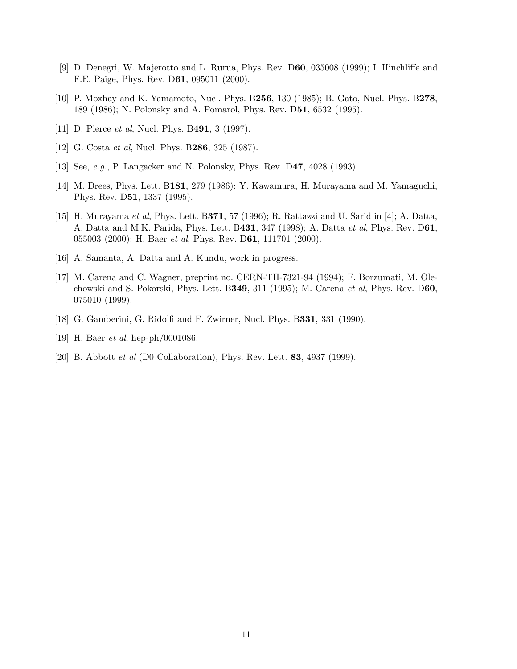- [9] D. Denegri, W. Majerotto and L. Rurua, Phys. Rev. D60, 035008 (1999); I. Hinchliffe and F.E. Paige, Phys. Rev. D61, 095011 (2000).
- [10] P. Moxhay and K. Yamamoto, Nucl. Phys. B256, 130 (1985); B. Gato, Nucl. Phys. B278, 189 (1986); N. Polonsky and A. Pomarol, Phys. Rev. D51, 6532 (1995).
- [11] D. Pierce *et al*, Nucl. Phys. B491, 3 (1997).
- [12] G. Costa *et al*, Nucl. Phys. B286, 325 (1987).
- [13] See, *e.g.*, P. Langacker and N. Polonsky, Phys. Rev. D47, 4028 (1993).
- [14] M. Drees, Phys. Lett. B181, 279 (1986); Y. Kawamura, H. Murayama and M. Yamaguchi, Phys. Rev. D51, 1337 (1995).
- [15] H. Murayama et al, Phys. Lett. B371, 57 (1996); R. Rattazzi and U. Sarid in [4]; A. Datta, A. Datta and M.K. Parida, Phys. Lett. B431, 347 (1998); A. Datta et al, Phys. Rev. D61, 055003 (2000); H. Baer et al, Phys. Rev. D61, 111701 (2000).
- [16] A. Samanta, A. Datta and A. Kundu, work in progress.
- [17] M. Carena and C. Wagner, preprint no. CERN-TH-7321-94 (1994); F. Borzumati, M. Olechowski and S. Pokorski, Phys. Lett. B349, 311 (1995); M. Carena et al, Phys. Rev. D60, 075010 (1999).
- [18] G. Gamberini, G. Ridolfi and F. Zwirner, Nucl. Phys. B331, 331 (1990).
- [19] H. Baer *et al*, hep-ph/0001086.
- [20] B. Abbott *et al* (D0 Collaboration), Phys. Rev. Lett. **83**, 4937 (1999).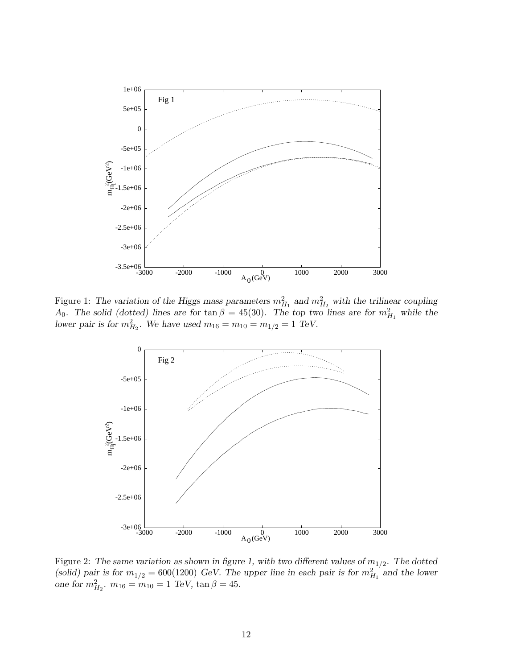

Figure 1: The variation of the Higgs mass parameters  $m_{H_1}^2$  and  $m_{H_2}^2$  with the trilinear coupling A<sub>0</sub>. The solid (dotted) lines are for tan  $\beta = 45(30)$ . The top two lines are for  $m_{H_1}^2$  while the lower pair is for  $m_{H_2}^2$ . We have used  $m_{16} = m_{10} = m_{1/2} = 1$  TeV.



Figure 2: The same variation as shown in figure 1, with two different values of  $m_{1/2}$ . The dotted (solid) pair is for  $m_{1/2} = 600(1200)$  GeV. The upper line in each pair is for  $m_{H_1}^{2/7}$  and the lower one for  $m_{H_2}^2$ ,  $m_{16} = m_{10} = 1$  TeV,  $\tan \beta = 45$ .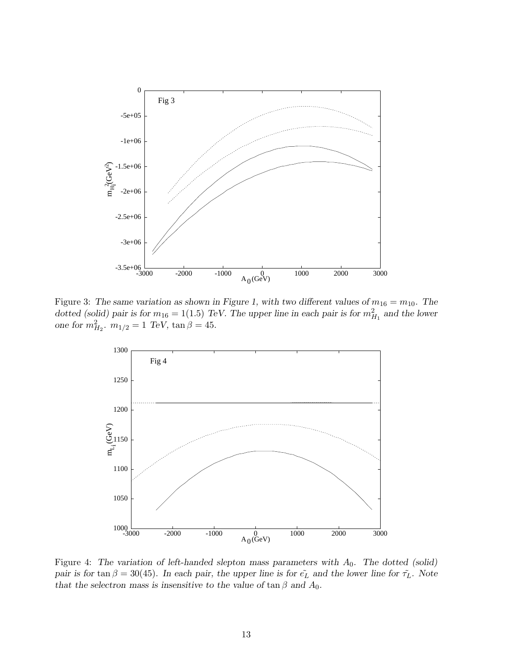

Figure 3: The same variation as shown in Figure 1, with two different values of  $m_{16} = m_{10}$ . The dotted (solid) pair is for  $m_{16} = 1(1.5)$  TeV. The upper line in each pair is for  $m_{H_1}^2$  and the lower one for  $m_{H_2}^2$ ,  $m_{1/2} = 1$  TeV,  $\tan \beta = 45$ .



Figure 4: The variation of left-handed slepton mass parameters with  $A_0$ . The dotted (solid) pair is for tan  $\beta = 30(45)$ . In each pair, the upper line is for  $\tilde{e_L}$  and the lower line for  $\tilde{\tau_L}$ . Note that the selectron mass is insensitive to the value of tan  $\beta$  and  $A_0$ .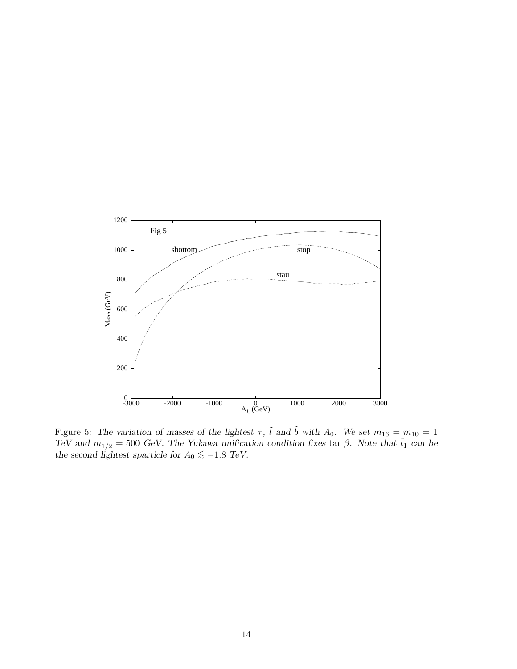

Figure 5: The variation of masses of the lightest  $\tilde{\tau}$ ,  $\tilde{t}$  and  $\tilde{b}$  with  $A_0$ . We set  $m_{16} = m_{10} = 1$ TeV and  $m_{1/2} = 500$  GeV. The Yukawa unification condition fixes tan  $\beta$ . Note that  $\tilde{t}_1$  can be the second lightest sparticle for  $A_0 \lesssim −1.8$  TeV.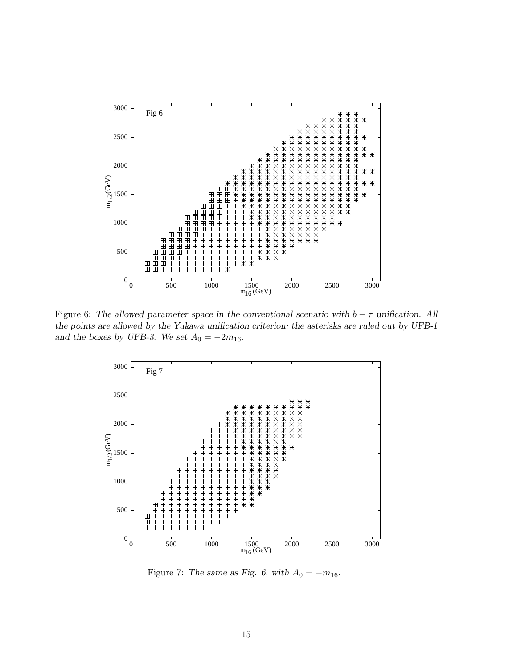

Figure 6: The allowed parameter space in the conventional scenario with  $b - \tau$  unification. All the points are allowed by the Yukawa unification criterion; the asterisks are ruled out by UFB-1 and the boxes by UFB-3. We set  $A_0 = -2m_{16}$ .



Figure 7: The same as Fig. 6, with  $A_0 = -m_{16}$ .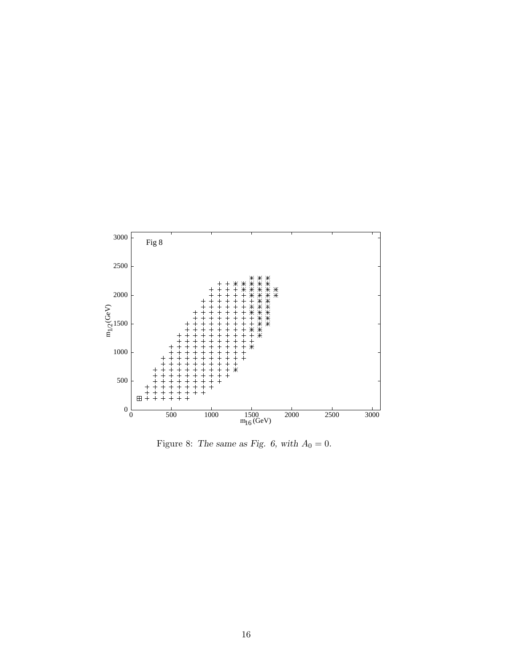

Figure 8: The same as Fig. 6, with  $A_0 = 0$ .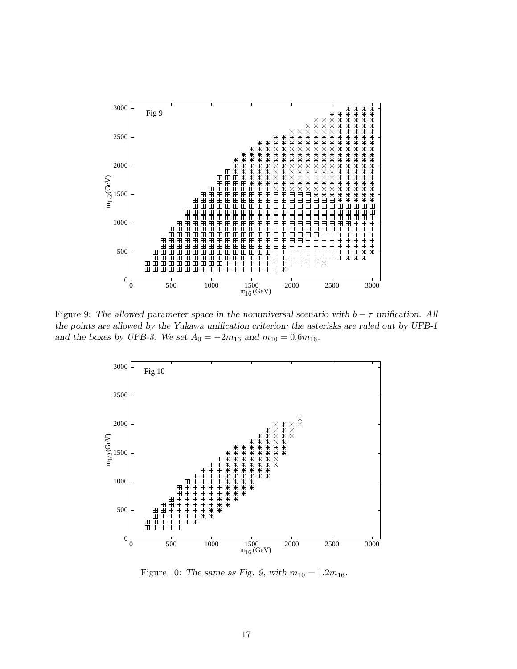

Figure 9: The allowed parameter space in the nonuniversal scenario with  $b - \tau$  unification. All the points are allowed by the Yukawa unification criterion; the asterisks are ruled out by UFB-1 and the boxes by UFB-3. We set  $A_0 = -2m_{16}$  and  $m_{10} = 0.6m_{16}$ .



Figure 10: The same as Fig. 9, with  $m_{10} = 1.2m_{16}$ .